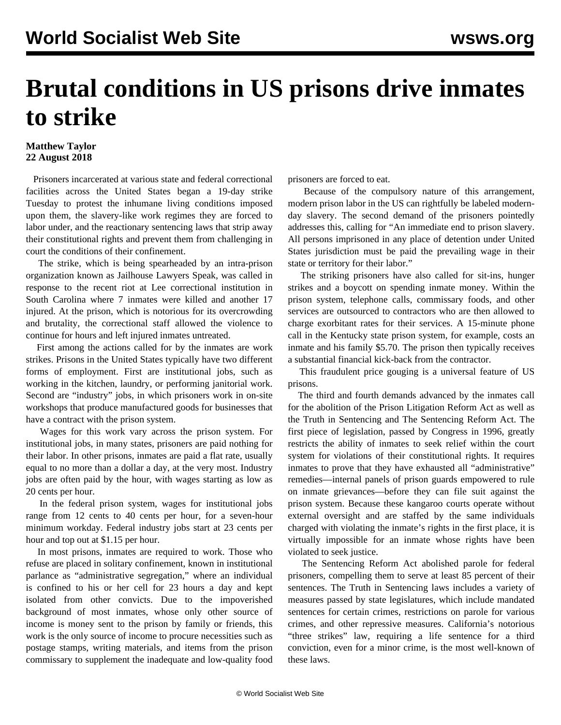## **Brutal conditions in US prisons drive inmates to strike**

## **Matthew Taylor 22 August 2018**

 Prisoners incarcerated at various state and federal correctional facilities across the United States began a 19-day strike Tuesday to protest the inhumane living conditions imposed upon them, the slavery-like work regimes they are forced to labor under, and the reactionary sentencing laws that strip away their constitutional rights and prevent them from challenging in court the conditions of their confinement.

 The strike, which is being spearheaded by an intra-prison organization known as Jailhouse Lawyers Speak, was called in response to the recent riot at Lee correctional institution in South Carolina where 7 inmates were killed and another 17 injured. At the prison, which is notorious for its overcrowding and brutality, the correctional staff allowed the violence to continue for hours and left injured inmates untreated.

 First among the actions called for by the inmates are work strikes. Prisons in the United States typically have two different forms of employment. First are institutional jobs, such as working in the kitchen, laundry, or performing janitorial work. Second are "industry" jobs, in which prisoners work in on-site workshops that produce manufactured goods for businesses that have a contract with the prison system.

 Wages for this work vary across the prison system. For institutional jobs, in many states, prisoners are paid nothing for their labor. In other prisons, inmates are paid a flat rate, usually equal to no more than a dollar a day, at the very most. Industry jobs are often paid by the hour, with wages starting as low as 20 cents per hour.

 In the federal prison system, wages for institutional jobs range from 12 cents to 40 cents per hour, for a seven-hour minimum workday. Federal industry jobs start at 23 cents per hour and top out at \$1.15 per hour.

 In most prisons, inmates are required to work. Those who refuse are placed in solitary confinement, known in institutional parlance as "administrative segregation," where an individual is confined to his or her cell for 23 hours a day and kept isolated from other convicts. Due to the impoverished background of most inmates, whose only other source of income is money sent to the prison by family or friends, this work is the only source of income to procure necessities such as postage stamps, writing materials, and items from the prison commissary to supplement the inadequate and low-quality food prisoners are forced to eat.

 Because of the compulsory nature of this arrangement, modern prison labor in the US can rightfully be labeled modernday slavery. The second demand of the prisoners pointedly addresses this, calling for "An immediate end to prison slavery. All persons imprisoned in any place of detention under United States jurisdiction must be paid the prevailing wage in their state or territory for their labor."

 The striking prisoners have also called for sit-ins, hunger strikes and a boycott on spending inmate money. Within the prison system, telephone calls, commissary foods, and other services are outsourced to contractors who are then allowed to charge exorbitant rates for their services. A 15-minute phone call in the Kentucky state prison system, for example, costs an inmate and his family \$5.70. The prison then typically receives a substantial financial kick-back from the contractor.

 This fraudulent price gouging is a universal feature of US prisons.

 The third and fourth demands advanced by the inmates call for the abolition of the Prison Litigation Reform Act as well as the Truth in Sentencing and The Sentencing Reform Act. The first piece of legislation, passed by Congress in 1996, greatly restricts the ability of inmates to seek relief within the court system for violations of their constitutional rights. It requires inmates to prove that they have exhausted all "administrative" remedies—internal panels of prison guards empowered to rule on inmate grievances—before they can file suit against the prison system. Because these kangaroo courts operate without external oversight and are staffed by the same individuals charged with violating the inmate's rights in the first place, it is virtually impossible for an inmate whose rights have been violated to seek justice.

 The Sentencing Reform Act abolished parole for federal prisoners, compelling them to serve at least 85 percent of their sentences. The Truth in Sentencing laws includes a variety of measures passed by state legislatures, which include mandated sentences for certain crimes, restrictions on parole for various crimes, and other repressive measures. California's notorious "three strikes" law, requiring a life sentence for a third conviction, even for a minor crime, is the most well-known of these laws.